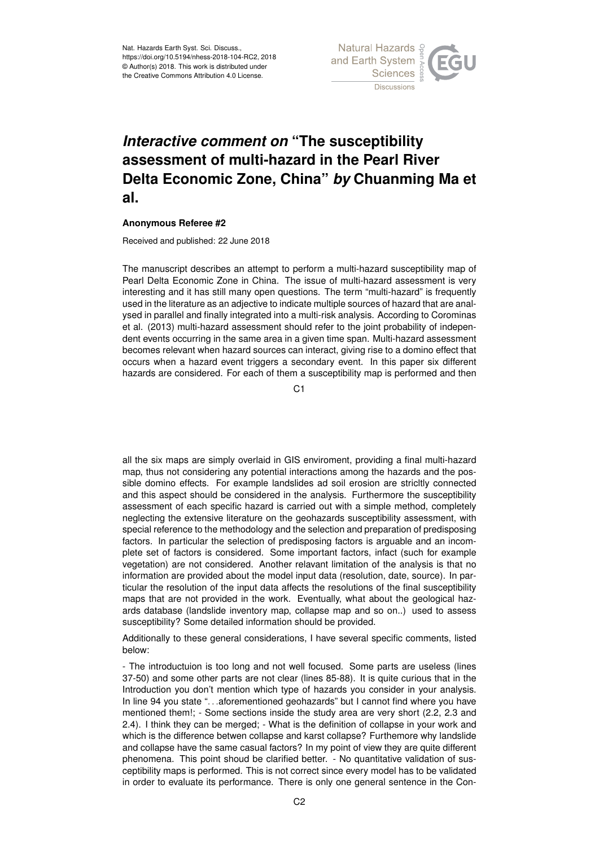

## *Interactive comment on* **"The susceptibility assessment of multi-hazard in the Pearl River Delta Economic Zone, China"** *by* **Chuanming Ma et al.**

## **Anonymous Referee #2**

Received and published: 22 June 2018

The manuscript describes an attempt to perform a multi-hazard susceptibility map of Pearl Delta Economic Zone in China. The issue of multi-hazard assessment is very interesting and it has still many open questions. The term "multi-hazard" is frequently used in the literature as an adjective to indicate multiple sources of hazard that are analysed in parallel and finally integrated into a multi-risk analysis. According to Corominas et al. (2013) multi-hazard assessment should refer to the joint probability of independent events occurring in the same area in a given time span. Multi-hazard assessment becomes relevant when hazard sources can interact, giving rise to a domino effect that occurs when a hazard event triggers a secondary event. In this paper six different hazards are considered. For each of them a susceptibility map is performed and then

C<sub>1</sub>

all the six maps are simply overlaid in GIS enviroment, providing a final multi-hazard map, thus not considering any potential interactions among the hazards and the possible domino effects. For example landslides ad soil erosion are stricltly connected and this aspect should be considered in the analysis. Furthermore the susceptibility assessment of each specific hazard is carried out with a simple method, completely neglecting the extensive literature on the geohazards susceptibility assessment, with special reference to the methodology and the selection and preparation of predisposing factors. In particular the selection of predisposing factors is arguable and an incomplete set of factors is considered. Some important factors, infact (such for example vegetation) are not considered. Another relavant limitation of the analysis is that no information are provided about the model input data (resolution, date, source). In particular the resolution of the input data affects the resolutions of the final susceptibility maps that are not provided in the work. Eventually, what about the geological hazards database (landslide inventory map, collapse map and so on..) used to assess susceptibility? Some detailed information should be provided.

Additionally to these general considerations, I have several specific comments, listed below:

- The introductuion is too long and not well focused. Some parts are useless (lines 37-50) and some other parts are not clear (lines 85-88). It is quite curious that in the Introduction you don't mention which type of hazards you consider in your analysis. In line 94 you state "...aforementioned geohazards" but I cannot find where you have mentioned them!; - Some sections inside the study area are very short (2.2, 2.3 and 2.4). I think they can be merged; - What is the definition of collapse in your work and which is the difference betwen collapse and karst collapse? Furthemore why landslide and collapse have the same casual factors? In my point of view they are quite different phenomena. This point shoud be clarified better. - No quantitative validation of susceptibility maps is performed. This is not correct since every model has to be validated in order to evaluate its performance. There is only one general sentence in the Con